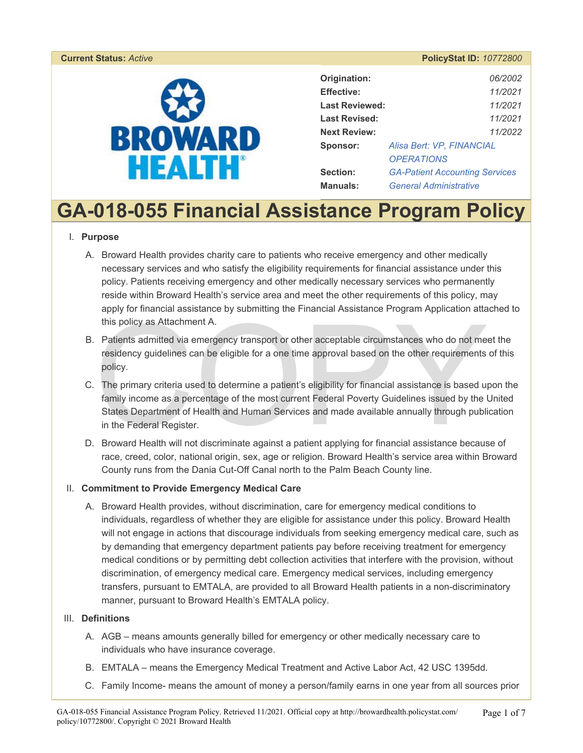#### **Current Status: Active**



| Origination:          | 06/2002                               |
|-----------------------|---------------------------------------|
| <b>Effective:</b>     | 11/2021                               |
| <b>Last Reviewed:</b> | 11/2021                               |
| <b>Last Revised:</b>  | 11/2021                               |
| <b>Next Review:</b>   | 11/2022                               |
| Sponsor:              | Alisa Bert: VP, FINANCIAL             |
|                       | <i><b>OPERATIONS</b></i>              |
| Section:              | <b>GA-Patient Accounting Services</b> |
| <b>Manuals:</b>       | <b>General Administrative</b>         |

# **GA-018-055 Financial Assistance Program Policy**

#### I. **Purpose**

- A. Broward Health provides charity care to patients who receive emergency and other medically necessary services and who satisfy the eligibility requirements for financial assistance under this policy. Patients receiving emergency and other medically necessary services who permanently reside within Broward Health's service area and meet the other requirements of this policy, may apply for financial assistance by submitting the Financial Assistance Program Application attached to this policy as Attachment A.
- B. Patients admitted via emergency transport or other acceptable circumstances who do not meet the residency guidelines can be eligible for a one time approval based on the other requirements of this policy.
- This policy as Attachment A.<br>
Patients admitted via emergency transport or other acceptable circumstances who do not me<br>
residency guidelines can be eligible for a one time approval based on the other requirements<br>
policy. C. The primary criteria used to determine a patient's eligibility for financial assistance is based upon the family income as a percentage of the most current Federal Poverty Guidelines issued by the United States Department of Health and Human Services and made available annually through publication in the Federal Register.
- D. Broward Health will not discriminate against a patient applying for financial assistance because of race, creed, color, national origin, sex, age or religion. Broward Health's service area within Broward County runs from the Dania Cut-Off Canal north to the Palm Beach County line.

#### II. **Commitment to Provide Emergency Medical Care**

A. Broward Health provides, without discrimination, care for emergency medical conditions to individuals, regardless of whether they are eligible for assistance under this policy. Broward Health will not engage in actions that discourage individuals from seeking emergency medical care, such as by demanding that emergency department patients pay before receiving treatment for emergency medical conditions or by permitting debt collection activities that interfere with the provision, without discrimination, of emergency medical care. Emergency medical services, including emergency transfers, pursuant to EMTALA, are provided to all Broward Health patients in a non-discriminatory manner, pursuant to Broward Health's EMTALA policy.

#### III. **Definitions**

- A. AGB means amounts generally billed for emergency or other medically necessary care to individuals who have insurance coverage.
- B. EMTALA means the Emergency Medical Treatment and Active Labor Act, 42 USC 1395dd.
- C. Family Income- means the amount of money a person/family earns in one year from all sources prior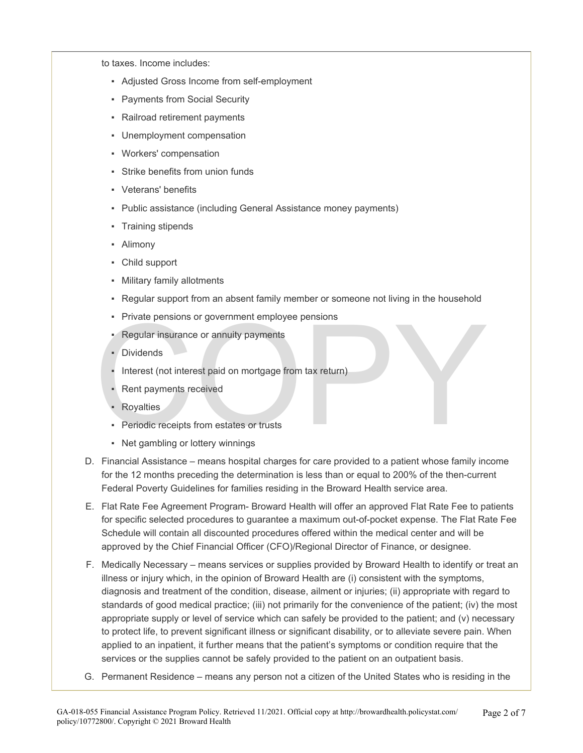to taxes. Income includes:

- Adjusted Gross Income from self-employment
- Payments from Social Security
- Railroad retirement payments
- Unemployment compensation
- Workers' compensation
- Strike benefits from union funds
- Veterans' benefits
- Public assistance (including General Assistance money payments)
- Training stipends
- Alimony
- Child support
- Military family allotments
- Regular support from an absent family member or someone not living in the household
- **Private pensions or government employee pensions**
- Regular insurance or annuity payments
- Dividends
- Private pensions or government employee pensions<br>• Regular insurance or annuity payments<br>• Dividends<br>• Interest (not interest paid on mortgage from tax return)<br>• Rent payments received<br>• Royalties<br>• Periodic receipts fro Interest (not interest paid on mortgage from tax return)
	- Rent payments received
	- **Royalties**
	- **Periodic receipts from estates or trusts**
	- Net gambling or lottery winnings
- D. Financial Assistance means hospital charges for care provided to a patient whose family income for the 12 months preceding the determination is less than or equal to 200% of the then-current Federal Poverty Guidelines for families residing in the Broward Health service area.
- E. Flat Rate Fee Agreement Program- Broward Health will offer an approved Flat Rate Fee to patients for specific selected procedures to guarantee a maximum out-of-pocket expense. The Flat Rate Fee Schedule will contain all discounted procedures offered within the medical center and will be approved by the Chief Financial Officer (CFO)/Regional Director of Finance, or designee.
- F. Medically Necessary means services or supplies provided by Broward Health to identify or treat an illness or injury which, in the opinion of Broward Health are (i) consistent with the symptoms, diagnosis and treatment of the condition, disease, ailment or injuries; (ii) appropriate with regard to standards of good medical practice; (iii) not primarily for the convenience of the patient; (iv) the most appropriate supply or level of service which can safely be provided to the patient; and (v) necessary to protect life, to prevent significant illness or significant disability, or to alleviate severe pain. When applied to an inpatient, it further means that the patient's symptoms or condition require that the services or the supplies cannot be safely provided to the patient on an outpatient basis.
- G. Permanent Residence means any person not a citizen of the United States who is residing in the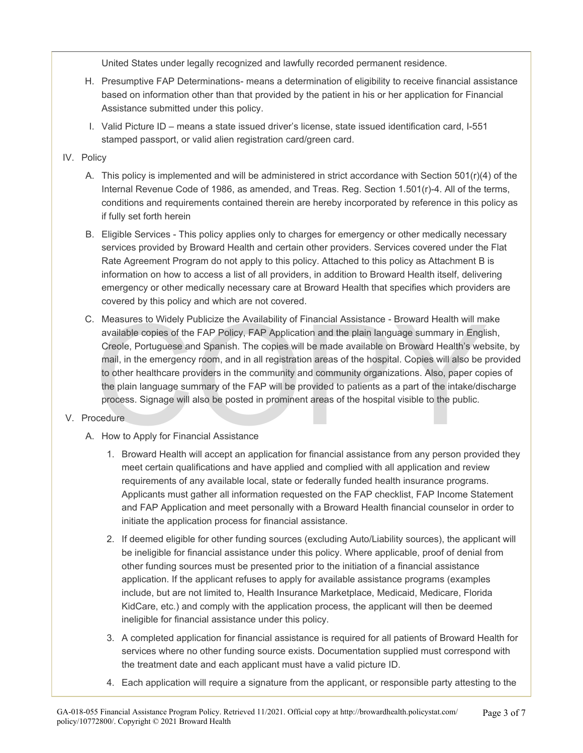United States under legally recognized and lawfully recorded permanent residence.

- H. Presumptive FAP Determinations- means a determination of eligibility to receive financial assistance based on information other than that provided by the patient in his or her application for Financial Assistance submitted under this policy.
- I. Valid Picture ID means a state issued driver's license, state issued identification card, I-551 stamped passport, or valid alien registration card/green card.

## IV. Policy

- A. This policy is implemented and will be administered in strict accordance with Section 501(r)(4) of the Internal Revenue Code of 1986, as amended, and Treas. Reg. Section 1.501(r)-4. All of the terms, conditions and requirements contained therein are hereby incorporated by reference in this policy as if fully set forth herein
- B. Eligible Services This policy applies only to charges for emergency or other medically necessary services provided by Broward Health and certain other providers. Services covered under the Flat Rate Agreement Program do not apply to this policy. Attached to this policy as Attachment B is information on how to access a list of all providers, in addition to Broward Health itself, delivering emergency or other medically necessary care at Broward Health that specifies which providers are covered by this policy and which are not covered.
- Measures to Widely Publicize the Availability of Financial Assistance Broward Health will mavailable copies of the FAP Policy, FAP Application and the plain language summary in Engli Creole, Portuguese and Spanish. The c C. Measures to Widely Publicize the Availability of Financial Assistance - Broward Health will make available copies of the FAP Policy, FAP Application and the plain language summary in English, Creole, Portuguese and Spanish. The copies will be made available on Broward Health's website, by mail, in the emergency room, and in all registration areas of the hospital. Copies will also be provided to other healthcare providers in the community and community organizations. Also, paper copies of the plain language summary of the FAP will be provided to patients as a part of the intake/discharge process. Signage will also be posted in prominent areas of the hospital visible to the public.

## V. Procedure

- A. How to Apply for Financial Assistance
	- 1. Broward Health will accept an application for financial assistance from any person provided they meet certain qualifications and have applied and complied with all application and review requirements of any available local, state or federally funded health insurance programs. Applicants must gather all information requested on the FAP checklist, FAP Income Statement and FAP Application and meet personally with a Broward Health financial counselor in order to initiate the application process for financial assistance.
	- 2. If deemed eligible for other funding sources (excluding Auto/Liability sources), the applicant will be ineligible for financial assistance under this policy. Where applicable, proof of denial from other funding sources must be presented prior to the initiation of a financial assistance application. If the applicant refuses to apply for available assistance programs (examples include, but are not limited to, Health Insurance Marketplace, Medicaid, Medicare, Florida KidCare, etc.) and comply with the application process, the applicant will then be deemed ineligible for financial assistance under this policy.
	- 3. A completed application for financial assistance is required for all patients of Broward Health for services where no other funding source exists. Documentation supplied must correspond with the treatment date and each applicant must have a valid picture ID.
	- 4. Each application will require a signature from the applicant, or responsible party attesting to the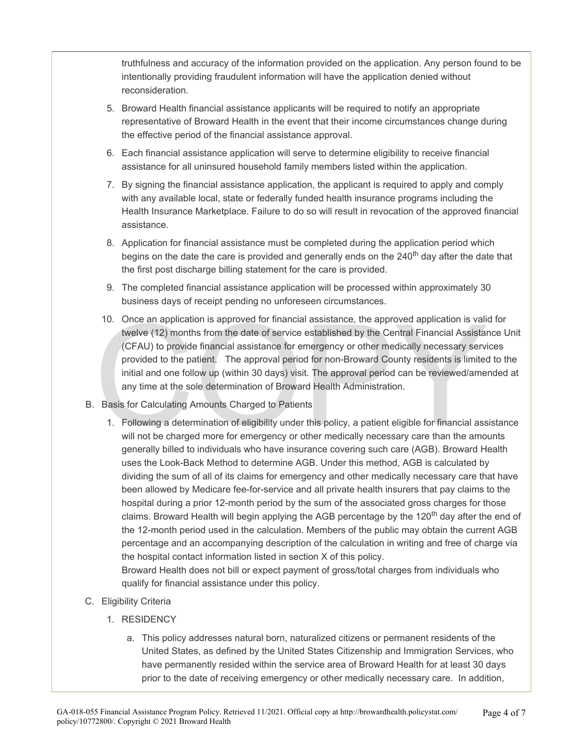truthfulness and accuracy of the information provided on the application. Any person found to be intentionally providing fraudulent information will have the application denied without reconsideration.

- 5. Broward Health financial assistance applicants will be required to notify an appropriate representative of Broward Health in the event that their income circumstances change during the effective period of the financial assistance approval.
- 6. Each financial assistance application will serve to determine eligibility to receive financial assistance for all uninsured household family members listed within the application.
- 7. By signing the financial assistance application, the applicant is required to apply and comply with any available local, state or federally funded health insurance programs including the Health Insurance Marketplace. Failure to do so will result in revocation of the approved financial assistance.
- 8. Application for financial assistance must be completed during the application period which begins on the date the care is provided and generally ends on the  $240<sup>th</sup>$  day after the date that the first post discharge billing statement for the care is provided.
- 9. The completed financial assistance application will be processed within approximately 30 business days of receipt pending no unforeseen circumstances.
- 10. Once an application is approved for financial assistance, the approved application is valid twelve (12) months from the date of service established by the Central Financial Assistan (CFAU) to provide financial assistan 10. Once an application is approved for financial assistance, the approved application is valid for twelve (12) months from the date of service established by the Central Financial Assistance Unit (CFAU) to provide financial assistance for emergency or other medically necessary services provided to the patient. The approval period for non-Broward County residents is limited to the initial and one follow up (within 30 days) visit. The approval period can be reviewed/amended at any time at the sole determination of Broward Health Administration.
- B. Basis for Calculating Amounts Charged to Patients
	- 1. Following a determination of eligibility under this policy, a patient eligible for financial assistance will not be charged more for emergency or other medically necessary care than the amounts generally billed to individuals who have insurance covering such care (AGB). Broward Health uses the Look-Back Method to determine AGB. Under this method, AGB is calculated by dividing the sum of all of its claims for emergency and other medically necessary care that have been allowed by Medicare fee-for-service and all private health insurers that pay claims to the hospital during a prior 12-month period by the sum of the associated gross charges for those claims. Broward Health will begin applying the AGB percentage by the 120<sup>th</sup> day after the end of the 12-month period used in the calculation. Members of the public may obtain the current AGB percentage and an accompanying description of the calculation in writing and free of charge via the hospital contact information listed in section X of this policy.

Broward Health does not bill or expect payment of gross/total charges from individuals who qualify for financial assistance under this policy.

- C. Eligibility Criteria
	- 1. RESIDENCY
		- a. This policy addresses natural born, naturalized citizens or permanent residents of the United States, as defined by the United States Citizenship and Immigration Services, who have permanently resided within the service area of Broward Health for at least 30 days prior to the date of receiving emergency or other medically necessary care. In addition,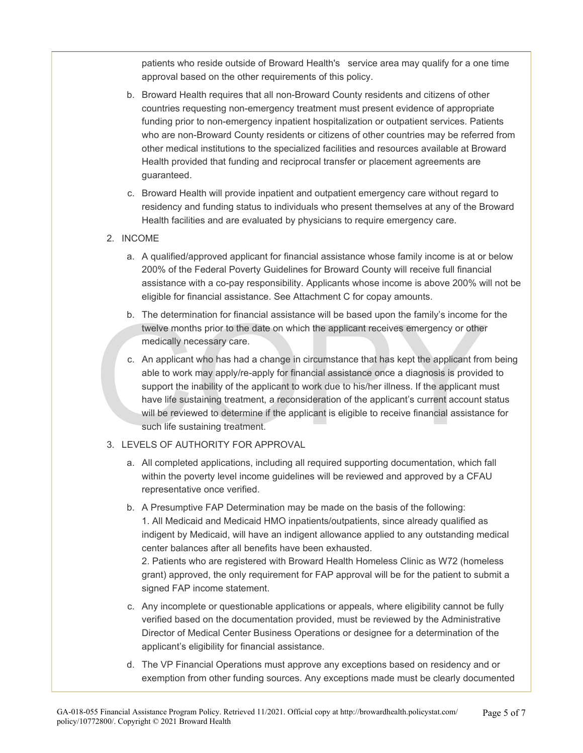patients who reside outside of Broward Health's service area may qualify for a one time approval based on the other requirements of this policy.

- b. Broward Health requires that all non-Broward County residents and citizens of other countries requesting non-emergency treatment must present evidence of appropriate funding prior to non-emergency inpatient hospitalization or outpatient services. Patients who are non-Broward County residents or citizens of other countries may be referred from other medical institutions to the specialized facilities and resources available at Broward Health provided that funding and reciprocal transfer or placement agreements are guaranteed.
- c. Broward Health will provide inpatient and outpatient emergency care without regard to residency and funding status to individuals who present themselves at any of the Broward Health facilities and are evaluated by physicians to require emergency care.

#### 2. INCOME

- a. A qualified/approved applicant for financial assistance whose family income is at or below 200% of the Federal Poverty Guidelines for Broward County will receive full financial assistance with a co-pay responsibility. Applicants whose income is above 200% will not be eligible for financial assistance. See Attachment C for copay amounts.
- b. The determination for financial assistance will be based upon the family's income for the twelve months prior to the date on which the applicant receives emergency or other medically necessary care.
- b. The determination for financial assistance will be based upon the family's income for twelve months prior to the date on which the applicant receives emergency or other medically necessary care.<br>
c. An applicant who has c. An applicant who has had a change in circumstance that has kept the applicant from being able to work may apply/re-apply for financial assistance once a diagnosis is provided to support the inability of the applicant to work due to his/her illness. If the applicant must have life sustaining treatment, a reconsideration of the applicant's current account status will be reviewed to determine if the applicant is eligible to receive financial assistance for such life sustaining treatment.

#### 3. LEVELS OF AUTHORITY FOR APPROVAL

- a. All completed applications, including all required supporting documentation, which fall within the poverty level income guidelines will be reviewed and approved by a CFAU representative once verified.
- b. A Presumptive FAP Determination may be made on the basis of the following: 1. All Medicaid and Medicaid HMO inpatients/outpatients, since already qualified as indigent by Medicaid, will have an indigent allowance applied to any outstanding medical center balances after all benefits have been exhausted.

2. Patients who are registered with Broward Health Homeless Clinic as W72 (homeless grant) approved, the only requirement for FAP approval will be for the patient to submit a signed FAP income statement.

- c. Any incomplete or questionable applications or appeals, where eligibility cannot be fully verified based on the documentation provided, must be reviewed by the Administrative Director of Medical Center Business Operations or designee for a determination of the applicant's eligibility for financial assistance.
- d. The VP Financial Operations must approve any exceptions based on residency and or exemption from other funding sources. Any exceptions made must be clearly documented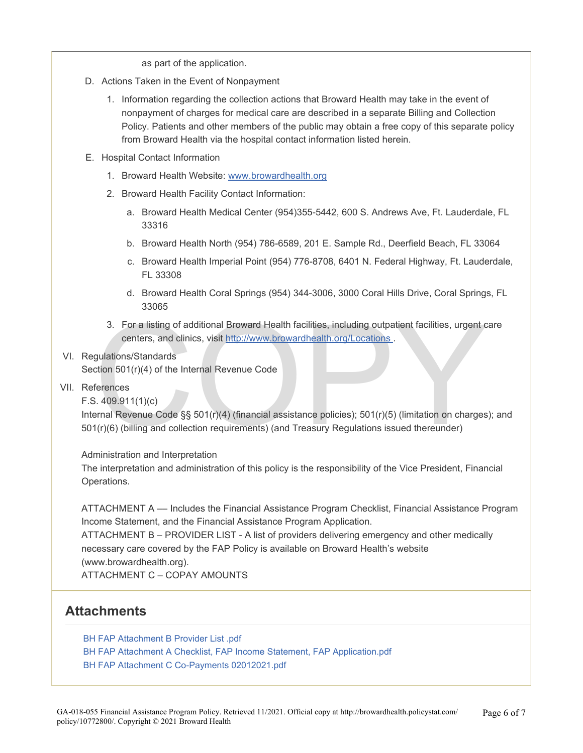as part of the application.

- D. Actions Taken in the Event of Nonpayment
	- 1. Information regarding the collection actions that Broward Health may take in the event of nonpayment of charges for medical care are described in a separate Billing and Collection Policy. Patients and other members of the public may obtain a free copy of this separate policy from Broward Health via the hospital contact information listed herein.
- E. Hospital Contact Information
	- 1. Broward Health Website: [www.browardhealth.org](http://www.browardhealth.org/)
	- 2. Broward Health Facility Contact Information:
		- a. Broward Health Medical Center (954)355-5442, 600 S. Andrews Ave, Ft. Lauderdale, FL 33316
		- b. Broward Health North (954) 786-6589, 201 E. Sample Rd., Deerfield Beach, FL 33064
		- c. Broward Health Imperial Point (954) 776-8708, 6401 N. Federal Highway, Ft. Lauderdale, FL 33308
		- d. Broward Health Coral Springs (954) 344-3006, 3000 Coral Hills Drive, Coral Springs, FL 33065
	- 3. For a listing of additional Broward Health facilities, including outpatient facilities, urgent care centers, and clinics, visit http://www.browardhealth.org/Locations.
- VI. Regulations/Standards

Section 501(r)(4) of the Internal Revenue Code

- VII. References
	- F.S. 409.911(1)(c)

3. For a listing of additional Broward Health facilities, including outpatient facilities, urgent c<br>centers, and clinics, visit http://www.browardhealth.org/Locations.<br>gulations/Standards<br>ction 501(r)(4) of the Internal Re Internal Revenue Code §§ 501(r)(4) (financial assistance policies); 501(r)(5) (limitation on charges); and 501(r)(6) (billing and collection requirements) (and Treasury Regulations issued thereunder)

Administration and Interpretation

The interpretation and administration of this policy is the responsibility of the Vice President, Financial Operations.

ATTACHMENT A –– Includes the Financial Assistance Program Checklist, Financial Assistance Program Income Statement, and the Financial Assistance Program Application.

ATTACHMENT B – PROVIDER LIST - A list of providers delivering emergency and other medically necessary care covered by the FAP Policy is available on Broward Health's website (www.browardhealth.org).

ATTACHMENT C – COPAY AMOUNTS

# **Attachments**

[BH FAP Attachment B Provider List .pdf](https://pstat-live-media.s3.amazonaws.com/attachments/public/cd8fd6ebcbb6c8d2114c9f0a719c420d8435a9b6ebf2b3dd96804978/BH%20FAP%20Attachment%20B%20Provider%20List%20.pdf) 

- [BH FAP Attachment A Checklist, FAP Income Statement, FAP Application.pdf](https://pstat-live-media.s3.amazonaws.com/attachments/public/560c91d14a2b3994dadd18c66fafc0d1e7551f7ee11bba79b2cb14b1/BH%20FAP%20Attachment%20A%20Checklist%2C%20FAP%20Income%20Statement%2C%20FAP%20Application.pdf)
- [BH FAP Attachment C Co-Payments 02012021.pdf](https://pstat-live-media.s3.amazonaws.com/attachments/public/e0b0e70b2eb19efed40388aca853e37be774c70742bb45d40693f88f/BH%20FAP%20Attachment%20C%20%20Co-Payments%2002012021.pdf)